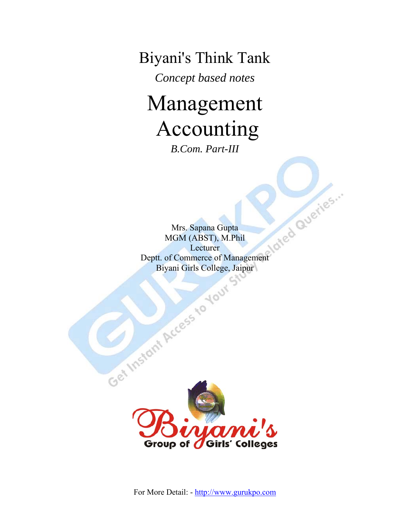Biyani's Think Tank

*Concept based notes* 

# Management Accounting

*B.Com. Part-III* 

Mrs. Sapana Gupta MGM (ABST), M.Phil **Lecturer** Deptt. of Commerce of Management Biyani Girls College, Jaipur

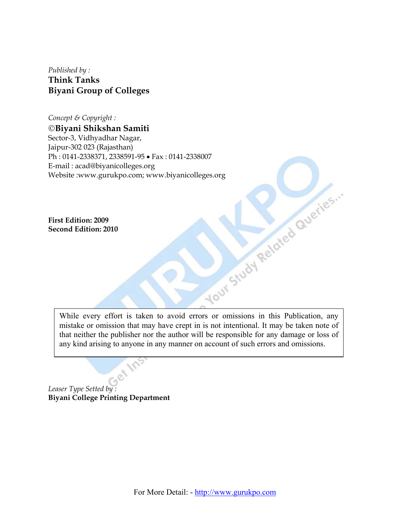*Published by :*  **Think Tanks Biyani Group of Colleges** 

*Concept & Copyright :*  ©**Biyani Shikshan Samiti**  Sector-3, Vidhyadhar Nagar, Jaipur-302 023 (Rajasthan) Ph : 0141-2338371, 2338591-95 • Fax : 0141-2338007<br>
E-mail : acad@biyanicolleges.org<br>
Website :www.gurukpo.com; www.biyanicolleges.org<br>
First Edition: 2009<br>
Second Edition: 2010<br>
First Lexikon: 2010 E-mail : acad@biyanicolleges.org Website :www.gurukpo.com; www.biyanicolleges.org

**First Edition: 2009 Second Edition: 2010** 

> While every effort is taken to avoid errors or omissions in this Publication, any mistake or omission that may have crept in is not intentional. It may be taken note of that neither the publisher nor the author will be responsible for any damage or loss of any kind arising to anyone in any manner on account of such errors and omissions.

*Leaser Type Setted by :*  **Biyani College Printing Department**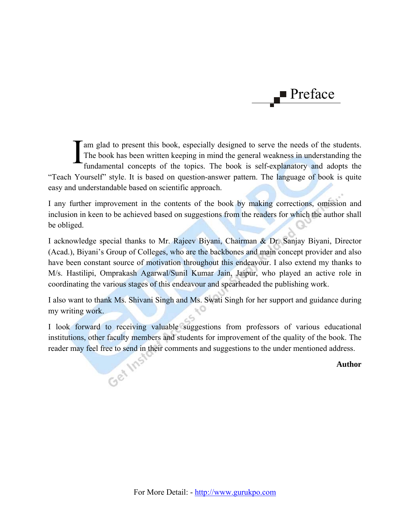

am glad to present this book, especially designed to serve the needs of the students. The book has been written keeping in mind the general weakness in understanding the If am glad to present this book, especially designed to serve the needs of the students.<br>The book has been written keeping in mind the general weakness in understanding the fundamental concepts of the topics. The book is s "Teach Yourself" style. It is based on question-answer pattern. The language of book is quite easy and understandable based on scientific approach.

I any further improvement in the contents of the book by making corrections, omission and inclusion in keen to be achieved based on suggestions from the readers for which the author shall be obliged.

I acknowledge special thanks to Mr. Rajeev Biyani, Chairman & Dr. Sanjay Biyani, Director (Acad.), Biyani's Group of Colleges, who are the backbones and main concept provider and also have been constant source of motivation throughout this endeavour. I also extend my thanks to M/s. Hastilipi, Omprakash Agarwal/Sunil Kumar Jain, Jaipur, who played an active role in coordinating the various stages of this endeavour and spearheaded the publishing work.

I also want to thank Ms. Shivani Singh and Ms. Swati Singh for her support and guidance during my writing work.

I look forward to receiving valuable suggestions from professors of various educational institutions, other faculty members and students for improvement of the quality of the book. The reader may feel free to send in their comments and suggestions to the under mentioned address.<br>Authority

**Author**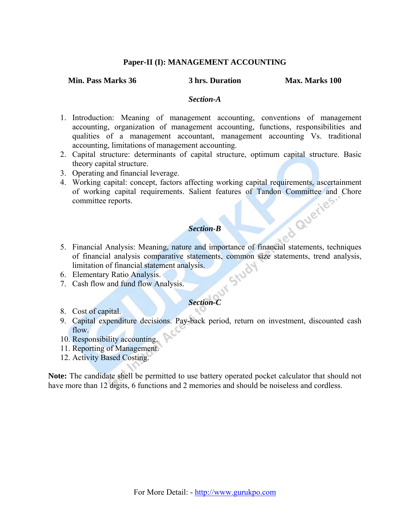#### **Paper-II (I): MANAGEMENT ACCOUNTING**

#### **Min. Pass Marks 36 3 hrs. Duration Max. Marks 100**

#### *Section-A*

- 1. Introduction: Meaning of management accounting, conventions of management accounting, organization of management accounting, functions, responsibilities and qualities of a management accountant, management accounting Vs. traditional accounting, limitations of management accounting.
- 2. Capital structure: determinants of capital structure, optimum capital structure. Basic theory capital structure.
- 3. Operating and financial leverage.
- 4. Working capital: concept, factors affecting working capital requirements, ascertainment of working capital requirements. Salient features of Tandon Committee and Chore<br>committee reports. committee reports.

#### *Section-B*

- 5. Financial Analysis: Meaning, nature and importance of financial statements, techniques of financial analysis comparative statements, common size statements, trend analysis,<br>limitation of financial statement analysis.<br>Elementary Ratio Analysis.<br>Cash flow and fund flow Analysis. limitation of financial statement analysis.
- 6. Elementary Ratio Analysis.
- 7. Cash flow and fund flow Analysis.

#### *Section-C*

- 8. Cost of capital.
- 9. Capital expenditure decisions. Pay-back period, return on investment, discounted cash flow.
- 10. Responsibility accounting.
- 11. Reporting of Management.
- 12. Activity Based Costing.

**Note:** The candidate shell be permitted to use battery operated pocket calculator that should not have more than 12 digits, 6 functions and 2 memories and should be noiseless and cordless.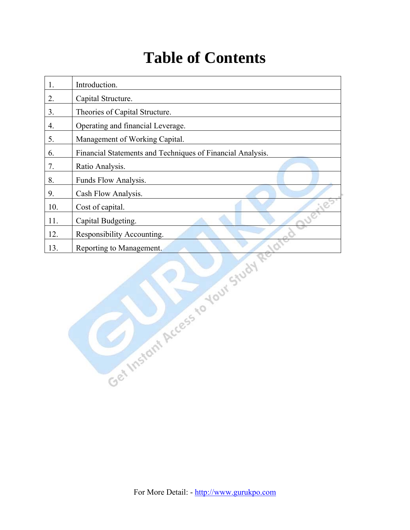## **Table of Contents**

| 1.  | Introduction.                                              |
|-----|------------------------------------------------------------|
| 2.  | Capital Structure.                                         |
| 3.  | Theories of Capital Structure.                             |
| 4.  | Operating and financial Leverage.                          |
| 5.  | Management of Working Capital.                             |
| 6.  | Financial Statements and Techniques of Financial Analysis. |
| 7.  | Ratio Analysis.                                            |
| 8.  | Funds Flow Analysis.                                       |
| 9.  | Cash Flow Analysis.                                        |
| 10. | Cost of capital.                                           |
| 11. | Capital Budgeting.                                         |
| 12. | Responsibility Accounting.                                 |
| 13. | Reporting to Management.                                   |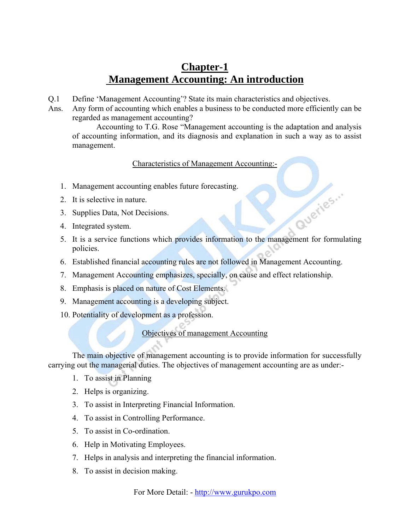## **Chapter-1 Management Accounting: An introduction**

- Q.1 Define 'Management Accounting'? State its main characteristics and objectives.
- Ans. Any form of accounting which enables a business to be conducted more efficiently can be regarded as management accounting?

 Accounting to T.G. Rose "Management accounting is the adaptation and analysis of accounting information, and its diagnosis and explanation in such a way as to assist management.

#### Characteristics of Management Accounting:-

- 1. Management accounting enables future forecasting.
- 2. It is selective in nature.
- 3. Supplies Data, Not Decisions.
- 4. Integrated system.
- 5. It is a service functions which provides information to the management for formulating policies.

Queries...

- 6. Established financial accounting rules are not followed in Management Accounting.
- 7. Management Accounting emphasizes, specially, on cause and effect relationship.
- 8. Emphasis is placed on nature of Cost Elements.
- 9. Management accounting is a developing subject.
- 10. Potentiality of development as a profession.

#### Objectives of management Accounting

 The main objective of management accounting is to provide information for successfully carrying out the managerial duties. The objectives of management accounting are as under:-

- 1. To assist in Planning
- 2. Helps is organizing.
- 3. To assist in Interpreting Financial Information.
- 4. To assist in Controlling Performance.
- 5. To assist in Co-ordination.
- 6. Help in Motivating Employees.
- 7. Helps in analysis and interpreting the financial information.
- 8. To assist in decision making.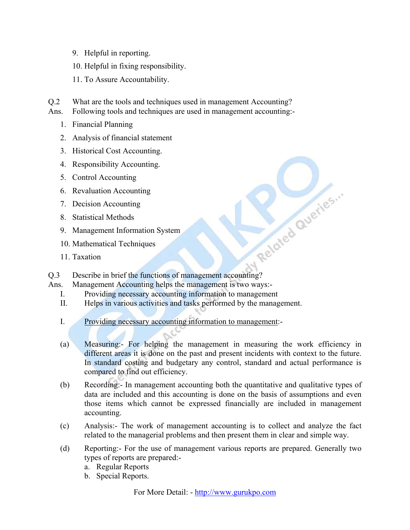- 9. Helpful in reporting.
- 10. Helpful in fixing responsibility.
- 11. To Assure Accountability.
- Q.2 What are the tools and techniques used in management Accounting?
- Ans. Following tools and techniques are used in management accounting:-
	- 1. Financial Planning
	- 2. Analysis of financial statement
	- 3. Historical Cost Accounting.
	- 4. Responsibility Accounting.
	- 5. Control Accounting
	- 6. Revaluation Accounting
	- 7. Decision Accounting
	- 8. Statistical Methods
	- 9. Management Information System
	- 10. Mathematical Techniques
	- 11 Taxation
- Experience States of Management Information System<br>
10. Mathematical Techniques<br>
11. Taxation<br>
2.3 Describe in brief the functions of management accounting?
- Ans. Management Accounting helps the management is two ways:-
	- I. Providing necessary accounting information to management
	- II. Helps in various activities and tasks performed by the management.
	- I. Providing necessary accounting information to management:-
	- (a) Measuring:- For helping the management in measuring the work efficiency in different areas it is done on the past and present incidents with context to the future. In standard costing and budgetary any control, standard and actual performance is compared to find out efficiency.
	- (b) Recording:- In management accounting both the quantitative and qualitative types of data are included and this accounting is done on the basis of assumptions and even those items which cannot be expressed financially are included in management accounting.
	- (c) Analysis:- The work of management accounting is to collect and analyze the fact related to the managerial problems and then present them in clear and simple way.
	- (d) Reporting:- For the use of management various reports are prepared. Generally two types of reports are prepared:
		- a. Regular Reports
		- b. Special Reports.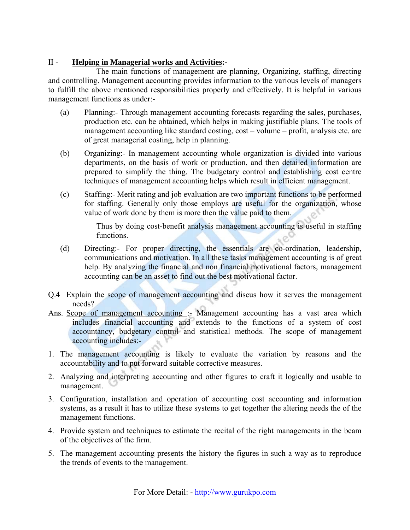#### II - **Helping in Managerial works and Activities:-**

 The main functions of management are planning, Organizing, staffing, directing and controlling. Management accounting provides information to the various levels of managers to fulfill the above mentioned responsibilities properly and effectively. It is helpful in various management functions as under:-

- (a) Planning:- Through management accounting forecasts regarding the sales, purchases, production etc. can be obtained, which helps in making justifiable plans. The tools of management accounting like standard costing, cost – volume – profit, analysis etc. are of great managerial costing, help in planning.
- (b) Organizing:- In management accounting whole organization is divided into various departments, on the basis of work or production, and then detailed information are prepared to simplify the thing. The budgetary control and establishing cost centre techniques of management accounting helps which result in efficient management.
- (c) Staffing:- Merit rating and job evaluation are two important functions to be performed for staffing. Generally only those employs are useful for the organization, whose value of work done by them is more then the value paid to them.

Thus by doing cost-benefit analysis management accounting is useful in staffing functions.

- (d) Directing:- For proper directing, the essentials are co-ordination, leadership, communications and motivation. In all these tasks management accounting is of great help. By analyzing the financial and non financial motivational factors, management accounting can be an asset to find out the best motivational factor.
- Q.4 Explain the scope of management accounting and discus how it serves the management needs?
- Ans. Scope of management accounting :- Management accounting has a vast area which includes financial accounting and extends to the functions of a system of cost accountancy, budgetary control and statistical methods. The scope of management accounting includes:-
- 1. The management accounting is likely to evaluate the variation by reasons and the accountability and to put forward suitable corrective measures.
- 2. Analyzing and interpreting accounting and other figures to craft it logically and usable to management.
- 3. Configuration, installation and operation of accounting cost accounting and information systems, as a result it has to utilize these systems to get together the altering needs the of the management functions.
- 4. Provide system and techniques to estimate the recital of the right managements in the beam of the objectives of the firm.
- 5. The management accounting presents the history the figures in such a way as to reproduce the trends of events to the management.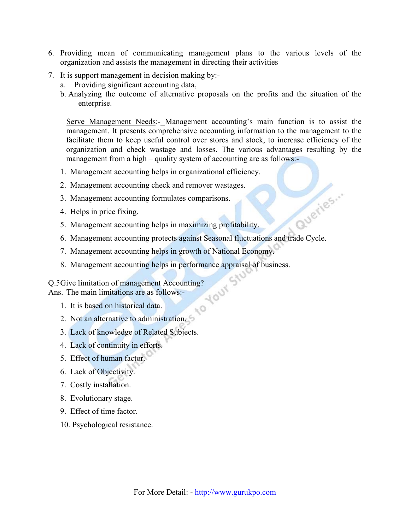- 6. Providing mean of communicating management plans to the various levels of the organization and assists the management in directing their activities
- 7. It is support management in decision making by:
	- a. Providing significant accounting data,
	- b. Analyzing the outcome of alternative proposals on the profits and the situation of the enterprise.

Serve Management Needs:- Management accounting's main function is to assist the management. It presents comprehensive accounting information to the management to the facilitate them to keep useful control over stores and stock, to increase efficiency of the organization and check wastage and losses. The various advantages resulting by the management from a high – quality system of accounting are as follows:-

- 1. Management accounting helps in organizational efficiency.
- 2. Management accounting check and remover wastages.
- 3. Management accounting formulates comparisons.
- 4. Helps in price fixing.
- 5. Management accounting helps in maximizing profitability.
- 6. Management accounting helps in maximizing profitability.<br>6. Management accounting protects against Seasonal fluctuations and trade Cycle.

 $O_{\mathcal{F}}$ 

- 7. Management accounting helps in growth of National Economy.
- 8. Management accounting helps in performance appraisal of business.<br>Give limitation of management Accounting?<br>8. The main limitations are as follows:-<br>1. It is based on the state of the state of the state of the state of

Q.5 Give limitation of management Accounting?

Ans. The main limitations are as follows:-

- 1. It is based on historical data.
- 2. Not an alternative to administration.
- 3. Lack of knowledge of Related Subjects.
- 4. Lack of continuity in efforts.
- 5. Effect of human factor.
- 6. Lack of Objectivity.
- 7. Costly installation.
- 8. Evolutionary stage.
- 9. Effect of time factor.
- 10. Psychological resistance.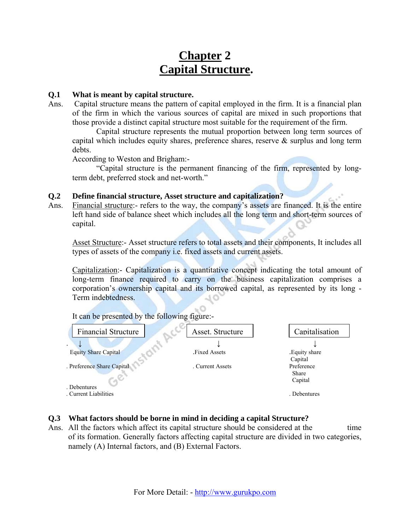## **Chapter 2 Capital Structure.**

#### **Q.1 What is meant by capital structure.**

Ans. Capital structure means the pattern of capital employed in the firm. It is a financial plan of the firm in which the various sources of capital are mixed in such proportions that those provide a distinct capital structure most suitable for the requirement of the firm.

 Capital structure represents the mutual proportion between long term sources of capital which includes equity shares, preference shares, reserve & surplus and long term debts.

According to Weston and Brigham:-

 "Capital structure is the permanent financing of the firm, represented by longterm debt, preferred stock and net-worth."

#### **Q.2 Define financial structure, Asset structure and capitalization?**

Ans. Financial structure:- refers to the way, the company's assets are financed. It is the entire left hand side of balance sheet which includes all the long term and short-term sources of capital.

 Asset Structure:- Asset structure refers to total assets and their components, It includes all types of assets of the company i.e. fixed assets and current assets.

 Capitalization:- Capitalization is a quantitative concept indicating the total amount of long-term finance required to carry on the business capitalization comprises a corporation's ownership capital and its borrowed capital, as represented by its long - Term indebtedness. 70

| <b>Financial Structure</b>  | Asset. Structure    | Capitalisation            |
|-----------------------------|---------------------|---------------------------|
| $\cdot$                     |                     |                           |
| <b>Equity Share Capital</b> | <b>Fixed Assets</b> | . Equity share<br>Capital |
| . Preference Share Capital  | . Current Assets    | Preference<br>Share       |
| . Debentures                |                     | Capital                   |
| . Current Liabilities       |                     | . Debentures              |

It can be presented by the following figure:-

#### **Q.3 What factors should be borne in mind in deciding a capital Structure?**

Ans. All the factors which affect its capital structure should be considered at the time of its formation. Generally factors affecting capital structure are divided in two categories, namely (A) Internal factors, and (B) External Factors.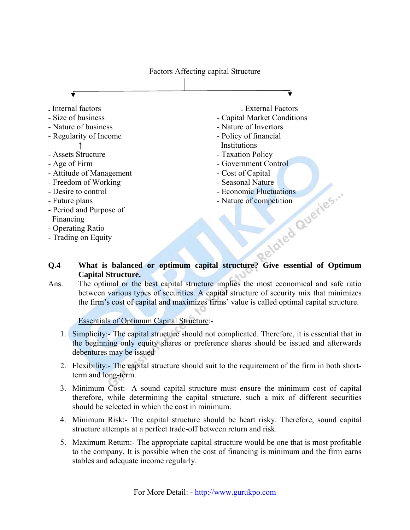Factors Affecting capital Structure



#### **Q.4 What is balanced or optimum capital structure? Give essential of Optimum Capital Structure.**

Ans. The optimal or the best capital structure implies the most economical and safe ratio between various types of securities. A capital structure of security mix that minimizes the firm's cost of capital and maximizes firms' value is called optimal capital structure.

#### Essentials of Optimum Capital Structure:-

- 1. Simplicity:- The capital structure should not complicated. Therefore, it is essential that in the beginning only equity shares or preference shares should be issued and afterwards debentures may be issued
- 2. Flexibility:- The capital structure should suit to the requirement of the firm in both shortterm and long-term.
- 3. Minimum Cost:- A sound capital structure must ensure the minimum cost of capital therefore, while determining the capital structure, such a mix of different securities should be selected in which the cost in minimum.
- 4. Minimum Risk:- The capital structure should be heart risky. Therefore, sound capital structure attempts at a perfect trade-off between return and risk.
- 5. Maximum Return:- The appropriate capital structure would be one that is most profitable to the company. It is possible when the cost of financing is minimum and the firm earns stables and adequate income regularly.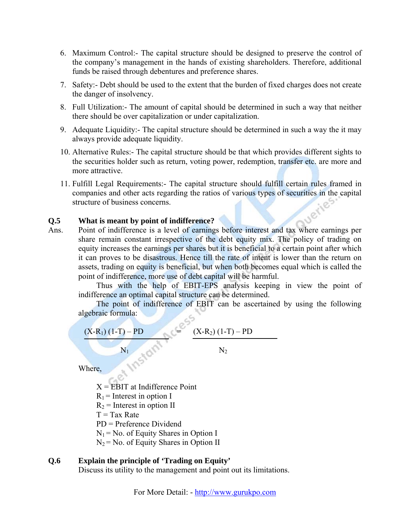- 6. Maximum Control:- The capital structure should be designed to preserve the control of the company's management in the hands of existing shareholders. Therefore, additional funds be raised through debentures and preference shares.
- 7. Safety:- Debt should be used to the extent that the burden of fixed charges does not create the danger of insolvency.
- 8. Full Utilization:- The amount of capital should be determined in such a way that neither there should be over capitalization or under capitalization.
- 9. Adequate Liquidity:- The capital structure should be determined in such a way the it may always provide adequate liquidity.
- 10. Alternative Rules:- The capital structure should be that which provides different sights to the securities holder such as return, voting power, redemption, transfer etc. are more and more attractive.
- 11. Fulfill Legal Requirements:- The capital structure should fulfill certain rules framed in companies and other acts regarding the ratios of various types of securities in the capital structure of business concerns.<br>What is meant by  $\sim$  1.15 structure of business concerns.

#### **Q.5 What is meant by point of indifference?**

Ans. Point of indifference is a level of earnings before interest and tax where earnings per share remain constant irrespective of the debt equity mix. The policy of trading on equity increases the earnings per shares but it is beneficial to a certain point after which it can proves to be disastrous. Hence till the rate of intent is lower than the return on assets, trading on equity is beneficial, but when both becomes equal which is called the point of indifference, more use of debt capital will be harmful.

 Thus with the help of EBIT-EPS analysis keeping in view the point of indifference an optimal capital structure can be determined.

 The point of indifference of EBIT can be ascertained by using the following algebraic formula:

 $(X-R_1)(1-T) - PD = (X-R_2)(1-T) - PD$ 

 $N_1$   $N_2$ 

Where,

 $X = EBIT$  at Indifference Point

- $R_1$  = Interest in option I
- $R_2$  = Interest in option II
- $T = Tax Rate$
- PD = Preference Dividend

 $N_1$  = No. of Equity Shares in Option I

 $N_2$  = No. of Equity Shares in Option II

#### **Q.6 Explain the principle of 'Trading on Equity'**

Discuss its utility to the management and point out its limitations.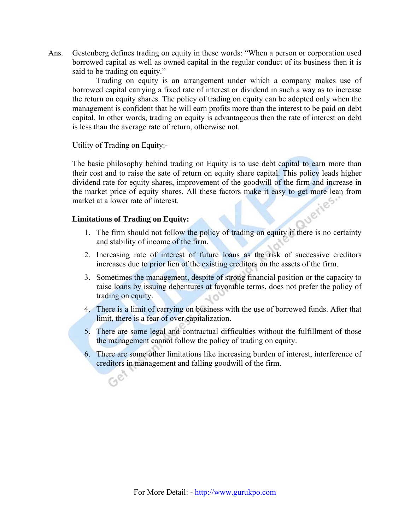Ans. Gestenberg defines trading on equity in these words: "When a person or corporation used borrowed capital as well as owned capital in the regular conduct of its business then it is said to be trading on equity."

 Trading on equity is an arrangement under which a company makes use of borrowed capital carrying a fixed rate of interest or dividend in such a way as to increase the return on equity shares. The policy of trading on equity can be adopted only when the management is confident that he will earn profits more than the interest to be paid on debt capital. In other words, trading on equity is advantageous then the rate of interest on debt is less than the average rate of return, otherwise not.

#### Utility of Trading on Equity:-

 The basic philosophy behind trading on Equity is to use debt capital to earn more than their cost and to raise the sate of return on equity share capital. This policy leads higher dividend rate for equity shares, improvement of the goodwill of the firm and increase in the market price of equity shares. All these factors make it easy to get more lean from market at a lower rate of interest.<br>Limitations of Trading on  $\mathbf{F}$ market at a lower rate of interest.

#### **Limitations of Trading on Equity:**

- 1. The firm should not follow the policy of trading on equity if there is no certainty and stability of income of the firm.
- 2. Increasing rate of interest of future loans as the risk of successive creditors increases due to prior lien of the existing creditors on the assets of the firm.
- 3. Sometimes the management, despite of strong financial position or the capacity to raise loans by issuing debentures at favorable terms, does not prefer the policy of trading on equity.
- 4. There is a limit of carrying on business with the use of borrowed funds. After that limit, there is a fear of over capitalization.
- 5. There are some legal and contractual difficulties without the fulfillment of those the management cannot follow the policy of trading on equity.
- 6. There are some other limitations like increasing burden of interest, interference of creditors in management and falling goodwill of the firm.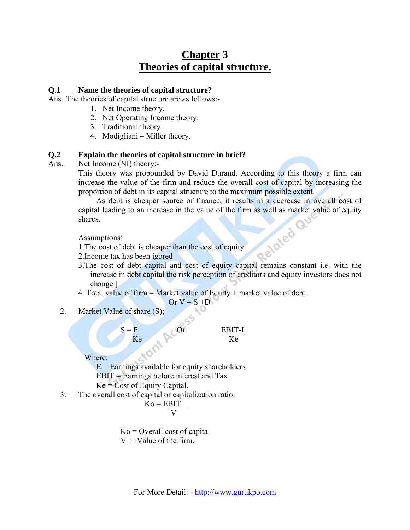## **Chapter 3 Theories of capital structure.**

#### **Q.1 Name the theories of capital structure?**

Ans. The theories of capital structure are as follows:-

- 1. Net Income theory.
- 2. Net Operating Income theory.
- 3. Traditional theory.
- 4. Modigliani Miller theory.

#### **Q.2 Explain the theories of capital structure in brief?**

Ans. Net Income (NI) theory:-

This theory was propounded by David Durand. According to this theory a firm can increase the value of the firm and reduce the overall cost of capital by increasing the proportion of debt in its capital structure to the maximum possible extent.

 As debt is cheaper source of finance, it results in a decrease in overall cost of capital leading to an increase in the value of the firm as well as market value of equity shares.<br>Assumptions:<br>1. The cost of debt is cheaper than the cost of shares.

Assumptions:

1.The cost of debt is cheaper than the cost of equity

- 2.Income tax has been igored
- 3.The cost of debt capital and cost of equity capital remains constant i.e. with the increase in debt capital the risk perception of creditors and equity investors does not change ]
- 4. Total value of firm  $=$  Market value of Equity  $+$  market value of debt.

Or 
$$
V = S + D
$$

2. Market Value of share (S);

 $S = F$  Or EBIT-I Ke Ke Ke

Where;

 $E =$  Earnings available for equity shareholders EBIT = Earnings before interest and Tax  $Ke = Cost of Equity Capital.$ 

3. The overall cost of capital or capitalization ratio:

$$
\dot{K}o = EBIT
$$

 $K_0$  = Overall cost of capital  $V =$ Value of the firm.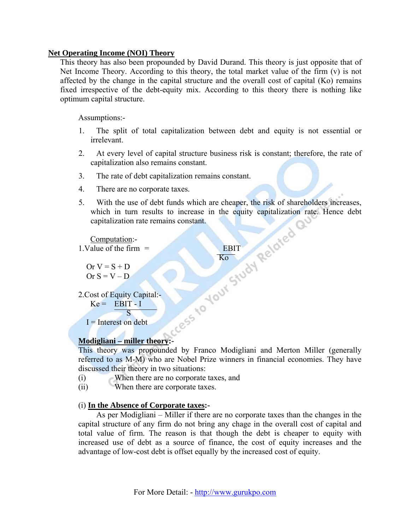#### **Net Operating Income (NOI) Theory**

This theory has also been propounded by David Durand. This theory is just opposite that of Net Income Theory. According to this theory, the total market value of the firm (v) is not affected by the change in the capital structure and the overall cost of capital (Ko) remains fixed irrespective of the debt-equity mix. According to this theory there is nothing like optimum capital structure.

Assumptions:-

- 1. The split of total capitalization between debt and equity is not essential or irrelevant.
- 2. At every level of capital structure business risk is constant; therefore, the rate of capitalization also remains constant.
- 3. The rate of debt capitalization remains constant.
- 4. There are no corporate taxes.

<u>Kongression and the state of the state of the state of the state of the state of the state of the state of the state of the state of the state of the state of the state of the state of the state of the state of the state </u>

5. With the use of debt funds which are cheaper, the risk of shareholders increases, which in turn results to increase in the equity capitalization rate. Hence debt capitalization rate remains constant.

Computation:-

 $1.Value of the firm = EBIT$ 

Or  $V = S + D$ Or  $S = V - D$ 

2.Cost of Equity Capital:-  $Ke = EBIT - I$ 

**S** 

 $I =$ Interest on debt

#### **Modigliani – miller theory:-**

This theory was propounded by Franco Modigliani and Merton Miller (generally referred to as M-M) who are Nobel Prize winners in financial economies. They have discussed their theory in two situations:

- (i) When there are no corporate taxes, and
- (ii) When there are corporate taxes.

#### (i) **In the Absence of Corporate taxes:-**

 As per Modigliani – Miller if there are no corporate taxes than the changes in the capital structure of any firm do not bring any chage in the overall cost of capital and total value of firm. The reason is that though the debt is cheaper to equity with increased use of debt as a source of finance, the cost of equity increases and the advantage of low-cost debt is offset equally by the increased cost of equity.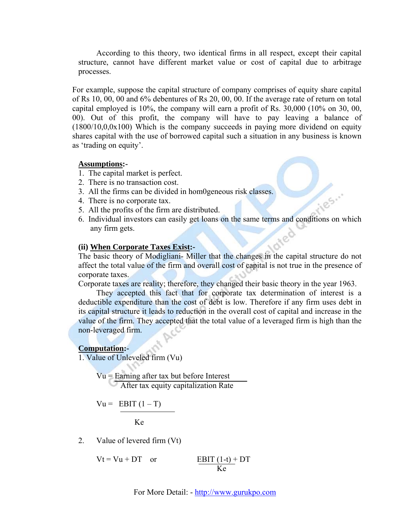According to this theory, two identical firms in all respect, except their capital structure, cannot have different market value or cost of capital due to arbitrage processes.

 For example, suppose the capital structure of company comprises of equity share capital of Rs 10, 00, 00 and 6% debentures of Rs 20, 00, 00. If the average rate of return on total capital employed is 10%, the company will earn a profit of Rs. 30,000 (10% on 30, 00, 00). Out of this profit, the company will have to pay leaving a balance of  $(1800/10,0,0x100)$  Which is the company succeeds in paying more dividend on equity shares capital with the use of borrowed capital such a situation in any business is known as 'trading on equity'.

#### **Assumptions:-**

- 1. The capital market is perfect.
- 2. There is no transaction cost.
- 3. All the firms can be divided in hom0geneous risk classes.
- 4. There is no corporate tax.
- 5. All the profits of the firm are distributed.
- 6. Individual investors can easily get loans on the same terms and conditions on which any firm gets.

125.

#### **(ii) When Corporate Taxes Exist:-**

The basic theory of Modigliani- Miller that the changes in the capital structure do not affect the total value of the firm and overall cost of capital is not true in the presence of corporate taxes.

Corporate taxes are reality; therefore, they changed their basic theory in the year 1963.

 They accepted this fact that for corporate tax determination of interest is a deductible expenditure than the cost of debt is low. Therefore if any firm uses debt in its capital structure it leads to reduction in the overall cost of capital and increase in the value of the firm. They accepted that the total value of a leveraged firm is high than the non-leveraged firm.

#### **Computation:-**

1. Value of Unleveled firm (Vu)

 Vu = Earning after tax but before Interest After tax equity capitalization Rate

$$
Vu = EBIT (1 - T)
$$

**Ke** 

2. Value of levered firm (Vt)

$$
Vt = Vu + DT \quad or \quad \frac{EBIT (1-t) + DT}{Ke}
$$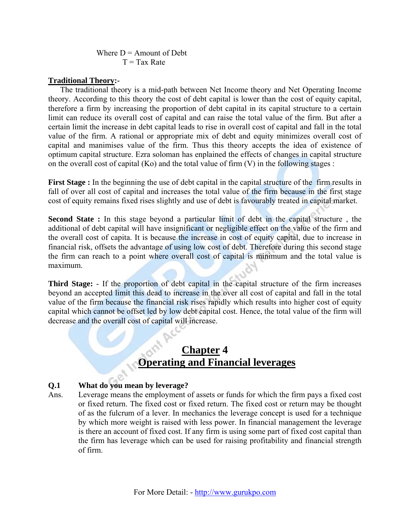Where  $D =$  Amount of Debt  $T = Tax Rate$ 

#### **Traditional Theory:-**

 The traditional theory is a mid-path between Net Income theory and Net Operating Income theory. According to this theory the cost of debt capital is lower than the cost of equity capital, therefore a firm by increasing the proportion of debt capital in its capital structure to a certain limit can reduce its overall cost of capital and can raise the total value of the firm. But after a certain limit the increase in debt capital leads to rise in overall cost of capital and fall in the total value of the firm. A rational or appropriate mix of debt and equity minimizes overall cost of capital and manimises value of the firm. Thus this theory accepts the idea of existence of optimum capital structure. Ezra soloman has enplained the effects of changes in capital structure on the overall cost of capital (Ko) and the total value of firm  $(V)$  in the following stages :

**First Stage :** In the beginning the use of debt capital in the capital structure of the firm results in fall of over all cost of capital and increases the total value of the firm because in the first stage cost of equity remains fixed rises slightly and use of debt is favourably treated in capital market.

**Second State :** In this stage beyond a particular limit of debt in the capital structure , the additional of debt capital will have insignificant or negligible effect on the value of the firm and the overall cost of capita. It is because the increase in cost of equity capital, due to increase in financial risk, offsets the advantage of using low cost of debt. Therefore during this second stage the firm can reach to a point where overall cost of capital is minimum and the total value is maximum.

**Third Stage:** - If the proportion of debt capital in the capital structure of the firm increases beyond an accepted limit this dead to increase in the over all cost of capital and fall in the total value of the firm because the financial risk rises rapidly which results into higher cost of equity capital which cannot be offset led by low debt capital cost. Hence, the total value of the firm will decrease and the overall cost of capital will increase.

## **Chapter 4 Operating and Financial leverages**

### **Q.1 What do you mean by leverage?**

Ans. Leverage means the employment of assets or funds for which the firm pays a fixed cost or fixed return. The fixed cost or fixed return. The fixed cost or return may be thought of as the fulcrum of a lever. In mechanics the leverage concept is used for a technique by which more weight is raised with less power. In financial management the leverage is there an account of fixed cost. If any firm is using some part of fixed cost capital than the firm has leverage which can be used for raising profitability and financial strength of firm.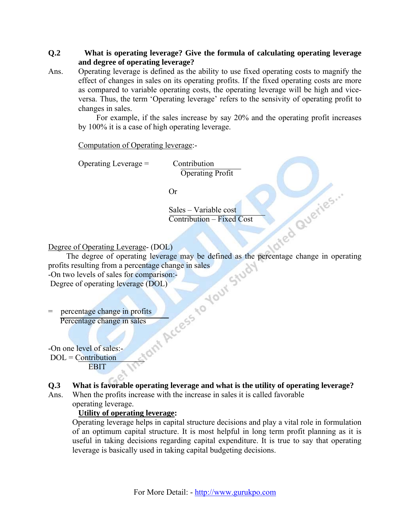#### **Q.2 What is operating leverage? Give the formula of calculating operating leverage and degree of operating leverage?**

Ans. Operating leverage is defined as the ability to use fixed operating costs to magnify the effect of changes in sales on its operating profits. If the fixed operating costs are more as compared to variable operating costs, the operating leverage will be high and viceversa. Thus, the term 'Operating leverage' refers to the sensivity of operating profit to changes in sales.

 For example, if the sales increase by say 20% and the operating profit increases by 100% it is a case of high operating leverage.

Computation of Operating leverage:-

Operating Leverage = Contribution

Operating Profit

Or

 Sales – Variable cost Contribution – Fixed Cost

Degree of Operating Leverage- (DOL)<br>
The degree of operating leverage may be defined as the<br>
profits resulting from a percentage change in sales<br>
-On two levels of sales for comparison:<br>
Degree of operating leverage (DOL)  $rac{1}{100}$   $rac{1}{20}$   $rac{1}{20}$ <br>  $rac{1}{20}$ <br>  $rac{1}{20}$ <br>  $rac{1}{20}$ <br>  $rac{1}{20}$ <br>  $rac{1}{20}$ <br>  $rac{1}{20}$ <br>  $rac{1}{20}$ <br>  $rac{1}{20}$ <br>  $rac{1}{20}$ <br>  $rac{1}{20}$ <br>  $rac{1}{20}$ <br>  $rac{1}{20}$ <br>  $rac{1}{20}$ <br>  $rac{1}{20}$ <br>  $rac{1}{20}$ <br>  $rac{1}{20}$ <br>  $rac{1}{20}$ <br>  $rac$ profits resulting from a percentage change in sales -On two levels of sales for comparison:-

Degree of operating leverage (DOL)

percentage change in profits Percentage change in sales

-On one level of sales:-

DOL = Contribution

EBIT

- **Q.3 What is favorable operating leverage and what is the utility of operating leverage?**
- Ans. When the profits increase with the increase in sales it is called favorable operating leverage.

#### **Utility of operating leverage:**

 Operating leverage helps in capital structure decisions and play a vital role in formulation of an optimum capital structure. It is most helpful in long term profit planning as it is useful in taking decisions regarding capital expenditure. It is true to say that operating leverage is basically used in taking capital budgeting decisions.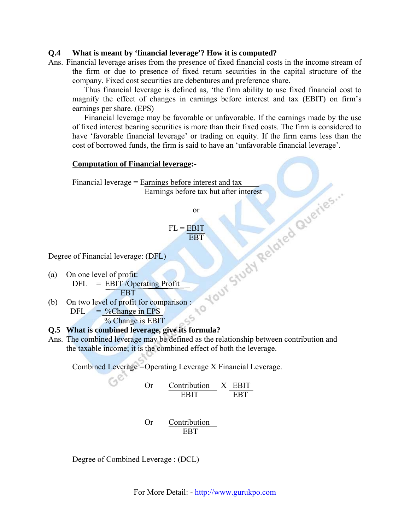#### **Q.4 What is meant by 'financial leverage'? How it is computed?**

Ans. Financial leverage arises from the presence of fixed financial costs in the income stream of the firm or due to presence of fixed return securities in the capital structure of the company. Fixed cost securities are debentures and preference share.

 Thus financial leverage is defined as, 'the firm ability to use fixed financial cost to magnify the effect of changes in earnings before interest and tax (EBIT) on firm's earnings per share. (EPS)

 Financial leverage may be favorable or unfavorable. If the earnings made by the use of fixed interest bearing securities is more than their fixed costs. The firm is considered to have 'favorable financial leverage' or trading on equity. If the firm earns less than the cost of borrowed funds, the firm is said to have an 'unfavorable financial leverage'.

#### **Computation of Financial leverage:-**

Financial leverage = Earnings before interest and tax<br>
Earnings before tax but after interest<br>
or<br>
FL = EBIT<br>
of Financial leverage: (DFL)<br>
n one level of profit:<br>
DFL = EBIT /Operating r<br>
n two level of EBT Earnings before tax but after interest

or

 $FL = EBIT$ **EBT** 

Degree of Financial leverage: (DFL)

- (a) On one level of profit:  $DFL = EBIT$  /Operating Profit EBT
- (b) On two level of profit for comparison :<br>DFL = %Change in FPS  $DFL = %Change in EPS$ cS % Change is EBIT

#### **Q.5 What is combined leverage, give its formula?**

Ans. The combined leverage may be defined as the relationship between contribution and the taxable income; it is the combined effect of both the leverage.

Combined Leverage = Operating Leverage X Financial Leverage.

Or 
$$
\frac{\text{Contribution}}{\text{EBIT}} \times \frac{\text{EBIT}}{\text{EBT}}
$$

 Or Contribution EBT

Degree of Combined Leverage : (DCL)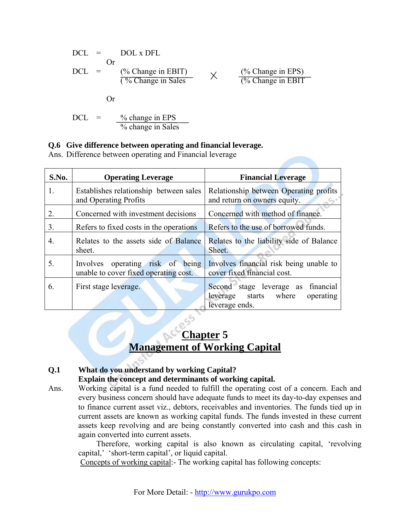DCL = DOL x DFL  
\nDCL = 
$$
\frac{(\% \text{ Change in EBIT})}{(\% \text{Change in Sales})}
$$
  $\times$   $\frac{(\% \text{ Change in EPS})}{(\% \text{Change in EBIT})}$   
\nOr  
\nDCL =  $\frac{\% \text{ change in EPS}}{\% \text{ change in Sales}}$   
\n=  $\frac{\% \text{change in EPS}}{\% \text{ change in Sales}}$ 

$$
\mathcal{L}^{\mathcal{L}}_{\mathcal{L}^{\mathcal{L}}_{\mathcal{L}^{\mathcal{L}}_{\mathcal{L}^{\mathcal{L}}_{\mathcal{L}^{\mathcal{L}}_{\mathcal{L}^{\mathcal{L}}_{\mathcal{L}^{\mathcal{L}}_{\mathcal{L}^{\mathcal{L}}_{\mathcal{L}^{\mathcal{L}}_{\mathcal{L}^{\mathcal{L}}_{\mathcal{L}^{\mathcal{L}}_{\mathcal{L}^{\mathcal{L}}_{\mathcal{L}^{\mathcal{L}}_{\mathcal{L}^{\mathcal{L}}_{\mathcal{L}^{\mathcal{L}}_{\mathcal{L}^{\mathcal{L}}_{\mathcal{L}^{\mathcal{L}}_{\mathcal{L}^{\mathcal{L}}_{\mathcal{L}^{\mathcal{L}}_{\mathcal{L}^{\mathcal{L}}_{\mathcal{L}^{\mathcal{L}}_{\mathcal{L}^{\mathcal{L}}_{\mathcal{L}^{\mathcal{L}}_{\mathcal{L}^{\mathcal{L}}_{\mathcal{L}^{\mathcal{L}}_{\mathcal{L}^{\mathcal{L}}_{\mathcal{L}^{\mathcal{L}}_{\mathcal{L}^{\mathcal{L}}_{\mathcal{L}^{\mathcal{L}}_{\mathcal{L}^{\mathcal{L}}_{\mathcal{L}^{\mathcal{L}}_{\mathcal{L}^{\mathcal{L}}_{\mathcal{L}^{\mathcal{L}}_{\mathcal{L}^{\mathcal{L}}_{\mathcal{L}^{\mathcal{L}}_{\mathcal{L}^{\mathcal{L}}_{\mathcal{L}^{\mathcal{L}}_{\mathcal{L}^{\mathcal{L}}_{\mathcal{L}^{\mathcal{L}}_{\mathcal{L}^{\mathcal{L}}_{\mathcal{L}^{\mathcal{L}}_{\mathcal{L}^{\mathcal{L}}_{\mathcal{L}^{\mathcal{L}}_{\mathcal{L}^{\mathcal{L}}_{\mathcal{L}^{\mathcal{L}}_{\mathcal{L}^{\mathcal{L}}_{\mathcal{L}^{\mathcal{L}}_{\mathcal{L}^{\mathcal{L}}_{\mathcal{L}^{\mathcal{L}}_{\mathcal{L}^{\mathcal{L}}_{\mathcal{L}^{\mathcal{L}}_{\mathcal{L}^{\mathcal{L}}_{\mathcal{L}^{\mathcal{L}}_{\mathcal{L}^{\mathcal{L}}_{\mathcal{
$$

**Q.6 Give difference between operating and financial leverage.**  Ans. Difference between operating and Financial leverage

| S.No. | <b>Operating Leverage</b>                                                 | <b>Financial Leverage</b>                                                                  |
|-------|---------------------------------------------------------------------------|--------------------------------------------------------------------------------------------|
| 1.    | Establishes relationship between sales<br>and Operating Profits           | Relationship between Operating profits<br>and return on owners equity.                     |
| 2.    | Concerned with investment decisions                                       | Concerned with method of finance.                                                          |
| 3.    | Refers to fixed costs in the operations                                   | Refers to the use of borrowed funds.                                                       |
| 4.    | Relates to the assets side of Balance<br>sheet.                           | Relates to the liability side of Balance<br>Sheet.                                         |
| 5.    | Involves operating risk of being<br>unable to cover fixed operating cost. | Involves financial risk being unable to<br>cover fixed financial cost.                     |
| 6.    | First stage leverage.                                                     | Second stage leverage as financial<br>leverage starts where<br>operating<br>leverage ends. |

## **Chapter 5 Management of Working Capital**

#### **Q.1 What do you understand by working Capital? Explain the concept and determinants of working capital.**

Ans. Working capital is a fund needed to fulfill the operating cost of a concern. Each and every business concern should have adequate funds to meet its day-to-day expenses and to finance current asset viz., debtors, receivables and inventories. The funds tied up in current assets are known as working capital funds. The funds invested in these current assets keep revolving and are being constantly converted into cash and this cash in again converted into current assets.

 Therefore, working capital is also known as circulating capital, 'revolving capital,' 'short-term capital', or liquid capital.

Concepts of working capital:- The working capital has following concepts: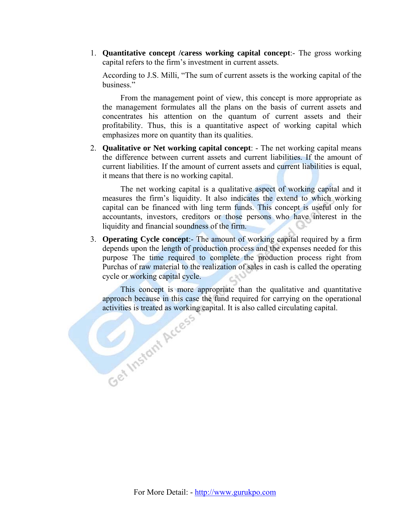1. **Quantitative concept /caress working capital concept**:- The gross working capital refers to the firm's investment in current assets.

According to J.S. Milli, "The sum of current assets is the working capital of the business."

 From the management point of view, this concept is more appropriate as the management formulates all the plans on the basis of current assets and concentrates his attention on the quantum of current assets and their profitability. Thus, this is a quantitative aspect of working capital which emphasizes more on quantity than its qualities.

2. **Qualitative or Net working capital concept**: - The net working capital means the difference between current assets and current liabilities. If the amount of current liabilities. If the amount of current assets and current liabilities is equal, it means that there is no working capital.

 The net working capital is a qualitative aspect of working capital and it measures the firm's liquidity. It also indicates the extend to which working capital can be financed with ling term funds. This concept is useful only for accountants, investors, creditors or those persons who have interest in the liquidity and financial soundness of the firm.

3. **Operating Cycle concept**:- The amount of working capital required by a firm depends upon the length of production process and the expenses needed for this purpose The time required to complete the production process right from Purchas of raw material to the realization of sales in cash is called the operating cycle or working capital cycle.

This concept is more appropriate than the qualitative and quantitative approach because in this case the fund required for carrying on the operational activities is treated as working capital. It is also called circulatin approach because in this case the fund required for carrying on the operational activities is treated as working capital. It is also called circulating capital.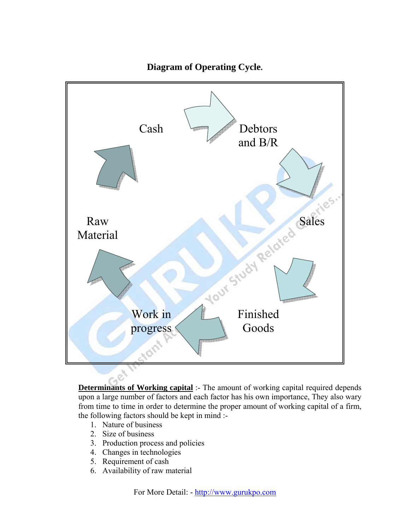

**Diagram of Operating Cycle.** 

**Determinants of Working capital** :- The amount of working capital required depends upon a large number of factors and each factor has his own importance, They also wary from time to time in order to determine the proper amount of working capital of a firm, the following factors should be kept in mind :-

- 1. Nature of business
- 2. Size of business
- 3. Production process and policies
- 4. Changes in technologies
- 5. Requirement of cash
- 6. Availability of raw material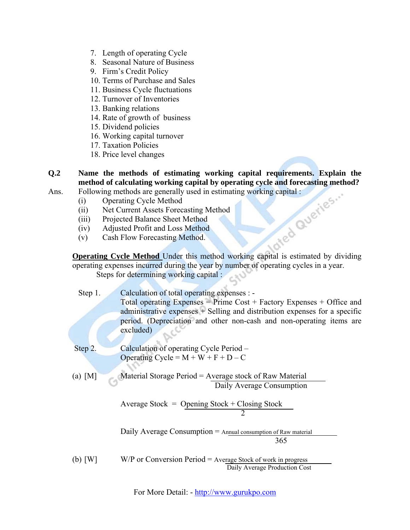- 7. Length of operating Cycle
- 8. Seasonal Nature of Business
- 9. Firm's Credit Policy
- 10. Terms of Purchase and Sales
- 11. Business Cycle fluctuations
- 12. Turnover of Inventories
- 13. Banking relations
- 14. Rate of growth of business
- 15. Dividend policies
- 16. Working capital turnover
- 17. Taxation Policies
- 18. Price level changes
- **Q.2**  method of calculating working capital by operating cycle and forecasting method? **Name the methods of estimating working capital requirements. Explain the**
- Ans. Following methods are generally used in estimating working capital :
	- (i) Operating Cycle Method
	- (ii) Net Current Assets Forecasting Method
	- (iii) Projected Balance Sheet Method
	- (iv) Adjusted Profit and Loss Method
	- (v) Cash Flow Forecasting Method.

**Operating Cycle Method** Under this method working capital is estimated by dividing operating expenses incurred during the year by number of operating cycles in a year. Steps for determining working capital :

Step 1. period. (Depreciation and other non-cash and non-operating items are excluded) Calculation of total operating expenses : - Total operating Expenses = Prime Cost + Factory Expenses + Office and administrative expenses + Selling and distribution expenses for a specific

- Operating Cycle =  $M + W + F + D C$ Step 2. Calculation of operating Cycle Period –
- (a)  $[M]$  Material Storage Period = Average stock of Raw Material Daily Average Consumption

ock 2 Average Stock = Opening Stock + Closing St

> 365 Daily Average Consumption  $=$  Annual consumption of Raw material

 Daily Average Production Cost (b) [W] W/P or Conversion Period = Average Stock of work in progress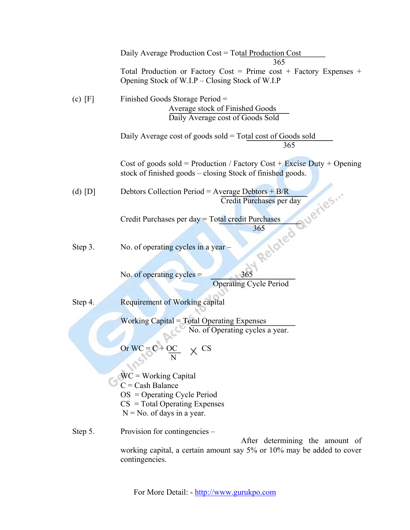|           | Daily Average Production Cost = Total Production Cost<br>365                                                                                                |
|-----------|-------------------------------------------------------------------------------------------------------------------------------------------------------------|
|           | Total Production or Factory Cost = Prime cost + Factory Expenses +<br>Opening Stock of W.I.P – Closing Stock of W.I.P                                       |
| $(c)$ [F] | Finished Goods Storage Period =<br>Average stock of Finished Goods<br>Daily Average cost of Goods Sold                                                      |
|           | Daily Average cost of goods sold $=$ Total cost of Goods sold<br>365                                                                                        |
|           | Cost of goods sold = Production / Factory Cost + Excise Duty + Opening<br>stock of finished goods – closing Stock of finished goods.                        |
| $(d)$ [D] | Debtors Collection Period = Average Debtors + $B/R$<br>Queries<br>Credit Purchases per day                                                                  |
|           | Credit Purchases per day = Total credit Purchases<br>365                                                                                                    |
| Step 3.   | Related<br>No. of operating cycles in a year -                                                                                                              |
|           | No. of operating cycles $=$<br>365<br><b>Operating Cycle Period</b>                                                                                         |
| Step 4.   | <b>Requirement of Working capital</b>                                                                                                                       |
|           | Working Capital = Total Operating Expenses<br>No. of Operating cycles a year.<br>Or $WC = C + OC$                                                           |
|           | $WC = Working Capital$<br>$C =$ Cash Balance<br>$OS = Operating Cycle Period$<br>$CS = Total Operating Express$<br>$N = No$ . of days in a year.            |
| Step 5.   | Provision for contingencies –<br>After determining the amount of<br>working capital, a certain amount say 5% or 10% may be added to cover<br>contingencies. |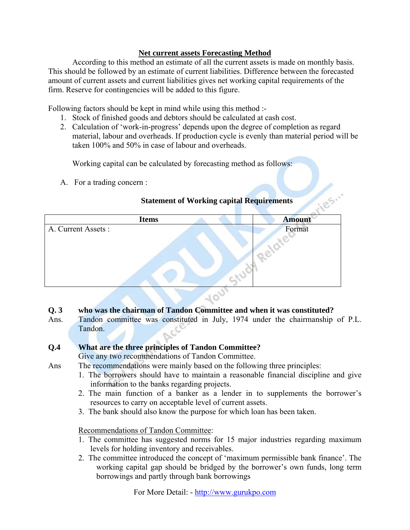#### **Net current assets Forecasting Method**

According to this method an estimate of all the current assets is made on monthly basis. This should be followed by an estimate of current liabilities. Difference between the forecaste d amount of current assets and current liabilities gives net work ing capital requirements of the firm. Reserve for contingencies will be added to this figure.

Following factors should be kept in mind while using this method :-

- 1. Stock of finished goods and debtors should be calculated at cash cost.
- 2. Calculation of 'work-in-progress' depends upon the degree of completion as regard material, labour and overheads. If production cycle is evenly than material period will be taken 100% and 50% in case of labour and overheads.

Working capital can be calculated by forecasting method as follows:

A. For a trading concern :

#### **Statement of Working capital Requirements**

| <b>Statement of Working capital Requirements</b> |               |
|--------------------------------------------------|---------------|
| <b>Items</b>                                     | <b>Amount</b> |
| A. Current Assets :                              | Format        |
|                                                  |               |
|                                                  |               |
|                                                  |               |

#### **Q. 3 who was the chairman of Tandon Committee and when it was constituted?**

Ans. Tandon committee was constituted in July, 1974 under the chairmanship of P.L. Tandon.

#### **.4 Q What are the three principles of Tandon Committee?**

Give any two recommendations of Tandon Committee.

- Ans The recommendations were mainly based on the following three principles:
	- 1. The borrowers should have to maintain a reasonable financial discipline and give information to the banks regarding projects.
	- 2. The main function of a banker as a lender in to supplements the borrower's resources to carry on acceptable level of current assets.
	- 3. The bank should also know the purpose for which loan has been taken.

#### Recommendations of Tandon Committee:

- 1. The committee has suggested norms for 15 major industries regarding maximum levels for holding inventory and receivables.
- 2. Th e committee introduced the concept of 'maximum permissible bank finance'. The working capital gap should be bridged by the borrower's own funds, long term borrowings and partly through bank borrowings